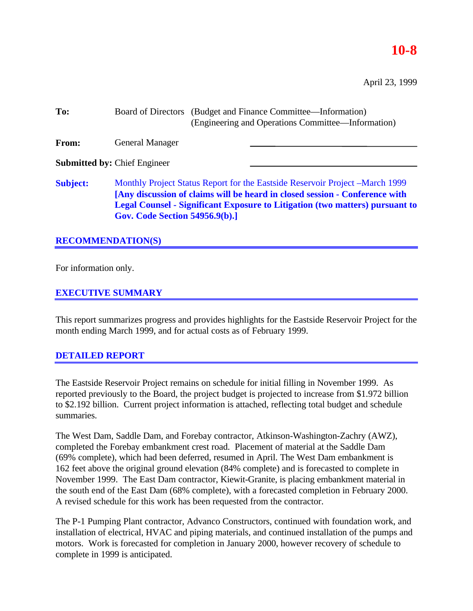## **10-8**

April 23, 1999

| To:                                 |                                                                                                                                                                                                                                                                                              | Board of Directors (Budget and Finance Committee—Information)<br>(Engineering and Operations Committee—Information) |  |  |  |
|-------------------------------------|----------------------------------------------------------------------------------------------------------------------------------------------------------------------------------------------------------------------------------------------------------------------------------------------|---------------------------------------------------------------------------------------------------------------------|--|--|--|
| From:                               | <b>General Manager</b>                                                                                                                                                                                                                                                                       |                                                                                                                     |  |  |  |
| <b>Submitted by: Chief Engineer</b> |                                                                                                                                                                                                                                                                                              |                                                                                                                     |  |  |  |
| <b>Subject:</b>                     | Monthly Project Status Report for the Eastside Reservoir Project – March 1999<br>[Any discussion of claims will be heard in closed session - Conference with<br><b>Legal Counsel - Significant Exposure to Litigation (two matters) pursuant to</b><br><b>Gov. Code Section 54956.9(b).]</b> |                                                                                                                     |  |  |  |

### **RECOMMENDATION(S)**

For information only.

### **EXECUTIVE SUMMARY**

This report summarizes progress and provides highlights for the Eastside Reservoir Project for the month ending March 1999, and for actual costs as of February 1999.

### **DETAILED REPORT**

The Eastside Reservoir Project remains on schedule for initial filling in November 1999. As reported previously to the Board, the project budget is projected to increase from \$1.972 billion to \$2.192 billion. Current project information is attached, reflecting total budget and schedule summaries.

The West Dam, Saddle Dam, and Forebay contractor, Atkinson-Washington-Zachry (AWZ), completed the Forebay embankment crest road. Placement of material at the Saddle Dam (69% complete), which had been deferred, resumed in April. The West Dam embankment is 162 feet above the original ground elevation (84% complete) and is forecasted to complete in November 1999. The East Dam contractor, Kiewit-Granite, is placing embankment material in the south end of the East Dam (68% complete), with a forecasted completion in February 2000. A revised schedule for this work has been requested from the contractor.

The P-1 Pumping Plant contractor, Advanco Constructors, continued with foundation work, and installation of electrical, HVAC and piping materials, and continued installation of the pumps and motors. Work is forecasted for completion in January 2000, however recovery of schedule to complete in 1999 is anticipated.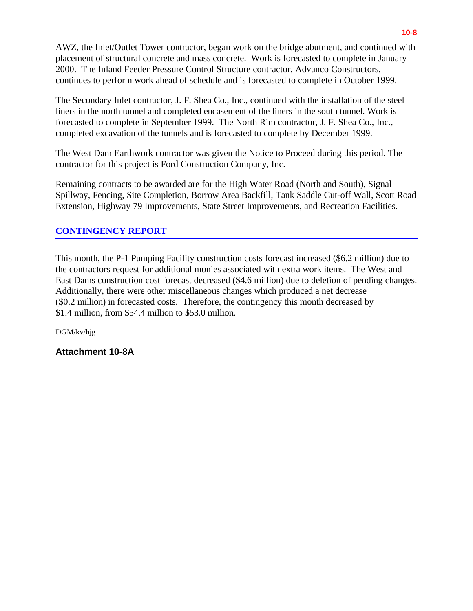AWZ, the Inlet/Outlet Tower contractor, began work on the bridge abutment, and continued with placement of structural concrete and mass concrete. Work is forecasted to complete in January 2000. The Inland Feeder Pressure Control Structure contractor, Advanco Constructors, continues to perform work ahead of schedule and is forecasted to complete in October 1999.

The Secondary Inlet contractor, J. F. Shea Co., Inc., continued with the installation of the steel liners in the north tunnel and completed encasement of the liners in the south tunnel. Work is forecasted to complete in September 1999. The North Rim contractor, J. F. Shea Co., Inc., completed excavation of the tunnels and is forecasted to complete by December 1999.

The West Dam Earthwork contractor was given the Notice to Proceed during this period. The contractor for this project is Ford Construction Company, Inc.

Remaining contracts to be awarded are for the High Water Road (North and South), Signal Spillway, Fencing, Site Completion, Borrow Area Backfill, Tank Saddle Cut-off Wall, Scott Road Extension, Highway 79 Improvements, State Street Improvements, and Recreation Facilities.

### **CONTINGENCY REPORT**

This month, the P-1 Pumping Facility construction costs forecast increased (\$6.2 million) due to the contractors request for additional monies associated with extra work items. The West and East Dams construction cost forecast decreased (\$4.6 million) due to deletion of pending changes. Additionally, there were other miscellaneous changes which produced a net decrease (\$0.2 million) in forecasted costs. Therefore, the contingency this month decreased by \$1.4 million, from \$54.4 million to \$53.0 million.

DGM/kv/hjg

**Attachment 10-8A**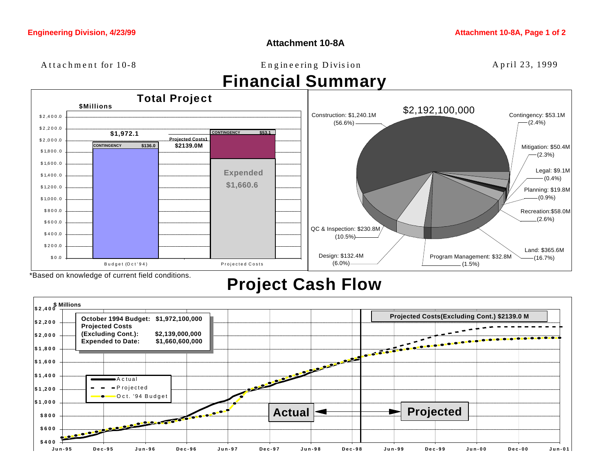**Attachment 10-8A**

Attachment for 10-8 Engineering Division April 23, 1999

# **Financial Summary**



## **Project Cash Flow**